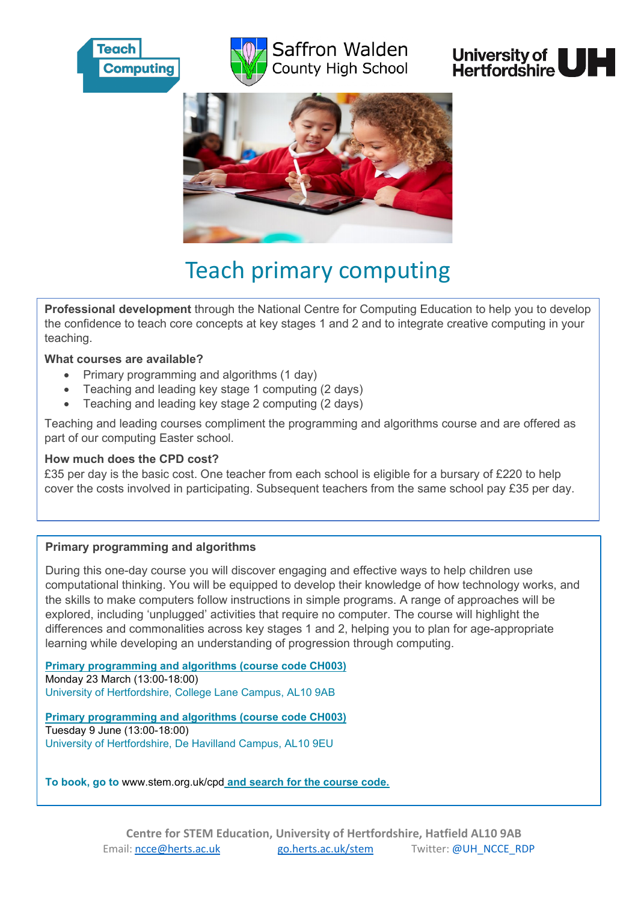

# Saffron Walden County High School





# Teach primary computing

**Professional development** through the National Centre for Computing Education to help you to develop the confidence to teach core concepts at key stages 1 and 2 and to integrate creative computing in your teaching.

#### **What courses are available?**

- Primary programming and algorithms (1 day)
- Teaching and leading key stage 1 computing (2 days)
- Teaching and leading key stage 2 computing (2 days)

Teaching and leading courses compliment the programming and algorithms course and are offered as part of our computing Easter school.

#### **How much does the CPD cost?**

£35 per day is the basic cost. One teacher from each school is eligible for a bursary of £220 to help cover the costs involved in participating. Subsequent teachers from the same school pay £35 per day.

## **Primary programming and algorithms**

During this one-day course you will discover engaging and effective ways to help children use computational thinking. You will be equipped to develop their knowledge of how technology works, and the skills to make computers follow instructions in simple programs. A range of approaches will be explored, including 'unplugged' activities that require no computer. The course will highlight the differences and commonalities across key stages 1 and 2, helping you to plan for age-appropriate learning while developing an understanding of progression through computing.

**Primary programming and algorithms (course code CH003)** Monday 23 March (13:00-18:00) University of Hertfordshire, College Lane Campus, AL10 9AB

**Primary programming and algorithms (course code CH003)** Tuesday 9 June (13:00-18:00) University of Hertfordshire, De Havilland Campus, AL10 9EU

**To book, go to** [www.stem.org.uk/cpd](http://www.stem.org.uk/cpd) **and search for the course code.**